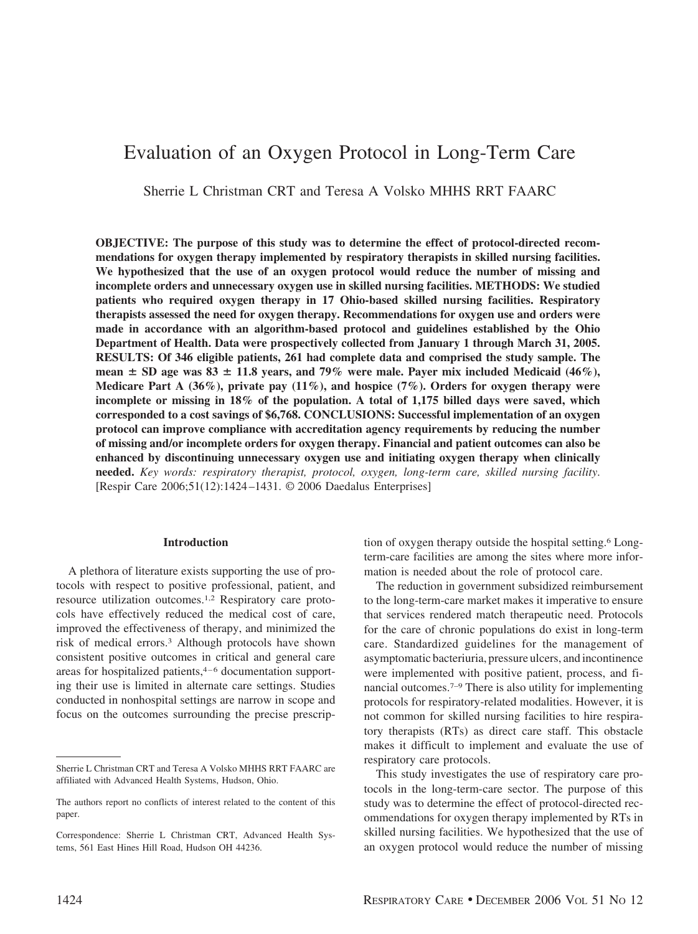# Evaluation of an Oxygen Protocol in Long-Term Care

Sherrie L Christman CRT and Teresa A Volsko MHHS RRT FAARC

**OBJECTIVE: The purpose of this study was to determine the effect of protocol-directed recommendations for oxygen therapy implemented by respiratory therapists in skilled nursing facilities. We hypothesized that the use of an oxygen protocol would reduce the number of missing and incomplete orders and unnecessary oxygen use in skilled nursing facilities. METHODS: We studied patients who required oxygen therapy in 17 Ohio-based skilled nursing facilities. Respiratory therapists assessed the need for oxygen therapy. Recommendations for oxygen use and orders were made in accordance with an algorithm-based protocol and guidelines established by the Ohio Department of Health. Data were prospectively collected from January 1 through March 31, 2005. RESULTS: Of 346 eligible patients, 261 had complete data and comprised the study sample. The mean**  $\pm$  SD age was 83  $\pm$  11.8 years, and 79% were male. Payer mix included Medicaid (46%), **Medicare Part A (36%), private pay (11%), and hospice (7%). Orders for oxygen therapy were incomplete or missing in 18% of the population. A total of 1,175 billed days were saved, which corresponded to a cost savings of \$6,768. CONCLUSIONS: Successful implementation of an oxygen protocol can improve compliance with accreditation agency requirements by reducing the number of missing and/or incomplete orders for oxygen therapy. Financial and patient outcomes can also be enhanced by discontinuing unnecessary oxygen use and initiating oxygen therapy when clinically needed.** *Key words: respiratory therapist, protocol, oxygen, long-term care, skilled nursing facility*. [Respir Care 2006;51(12):1424 –1431. © 2006 Daedalus Enterprises]

#### **Introduction**

A plethora of literature exists supporting the use of protocols with respect to positive professional, patient, and resource utilization outcomes.1,2 Respiratory care protocols have effectively reduced the medical cost of care, improved the effectiveness of therapy, and minimized the risk of medical errors.3 Although protocols have shown consistent positive outcomes in critical and general care areas for hospitalized patients,4–6 documentation supporting their use is limited in alternate care settings. Studies conducted in nonhospital settings are narrow in scope and focus on the outcomes surrounding the precise prescription of oxygen therapy outside the hospital setting.6 Longterm-care facilities are among the sites where more information is needed about the role of protocol care.

The reduction in government subsidized reimbursement to the long-term-care market makes it imperative to ensure that services rendered match therapeutic need. Protocols for the care of chronic populations do exist in long-term care. Standardized guidelines for the management of asymptomatic bacteriuria, pressure ulcers, and incontinence were implemented with positive patient, process, and financial outcomes.7–9 There is also utility for implementing protocols for respiratory-related modalities. However, it is not common for skilled nursing facilities to hire respiratory therapists (RTs) as direct care staff. This obstacle makes it difficult to implement and evaluate the use of respiratory care protocols.

This study investigates the use of respiratory care protocols in the long-term-care sector. The purpose of this study was to determine the effect of protocol-directed recommendations for oxygen therapy implemented by RTs in skilled nursing facilities. We hypothesized that the use of an oxygen protocol would reduce the number of missing

Sherrie L Christman CRT and Teresa A Volsko MHHS RRT FAARC are affiliated with Advanced Health Systems, Hudson, Ohio.

The authors report no conflicts of interest related to the content of this paper.

Correspondence: Sherrie L Christman CRT, Advanced Health Systems, 561 East Hines Hill Road, Hudson OH 44236.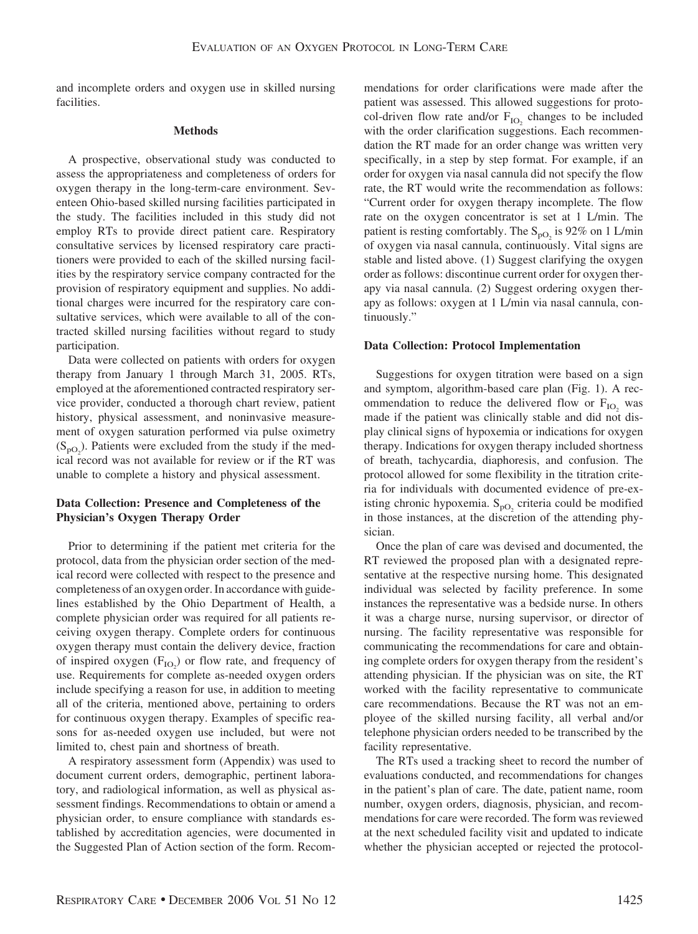and incomplete orders and oxygen use in skilled nursing facilities.

### **Methods**

A prospective, observational study was conducted to assess the appropriateness and completeness of orders for oxygen therapy in the long-term-care environment. Seventeen Ohio-based skilled nursing facilities participated in the study. The facilities included in this study did not employ RTs to provide direct patient care. Respiratory consultative services by licensed respiratory care practitioners were provided to each of the skilled nursing facilities by the respiratory service company contracted for the provision of respiratory equipment and supplies. No additional charges were incurred for the respiratory care consultative services, which were available to all of the contracted skilled nursing facilities without regard to study participation.

Data were collected on patients with orders for oxygen therapy from January 1 through March 31, 2005. RTs, employed at the aforementioned contracted respiratory service provider, conducted a thorough chart review, patient history, physical assessment, and noninvasive measurement of oxygen saturation performed via pulse oximetry  $(S_{pQ_2})$ . Patients were excluded from the study if the medical record was not available for review or if the RT was unable to complete a history and physical assessment.

# **Data Collection: Presence and Completeness of the Physician's Oxygen Therapy Order**

Prior to determining if the patient met criteria for the protocol, data from the physician order section of the medical record were collected with respect to the presence and completeness of an oxygen order. In accordance with guidelines established by the Ohio Department of Health, a complete physician order was required for all patients receiving oxygen therapy. Complete orders for continuous oxygen therapy must contain the delivery device, fraction of inspired oxygen  $(F_{IO_2})$  or flow rate, and frequency of use. Requirements for complete as-needed oxygen orders include specifying a reason for use, in addition to meeting all of the criteria, mentioned above, pertaining to orders for continuous oxygen therapy. Examples of specific reasons for as-needed oxygen use included, but were not limited to, chest pain and shortness of breath.

A respiratory assessment form (Appendix) was used to document current orders, demographic, pertinent laboratory, and radiological information, as well as physical assessment findings. Recommendations to obtain or amend a physician order, to ensure compliance with standards established by accreditation agencies, were documented in the Suggested Plan of Action section of the form. Recommendations for order clarifications were made after the patient was assessed. This allowed suggestions for protocol-driven flow rate and/or  $F_{IO}$ , changes to be included with the order clarification suggestions. Each recommendation the RT made for an order change was written very specifically, in a step by step format. For example, if an order for oxygen via nasal cannula did not specify the flow rate, the RT would write the recommendation as follows: "Current order for oxygen therapy incomplete. The flow rate on the oxygen concentrator is set at 1 L/min. The patient is resting comfortably. The  $S_{pQ}$  is 92% on 1 L/min of oxygen via nasal cannula, continuously. Vital signs are stable and listed above. (1) Suggest clarifying the oxygen order as follows: discontinue current order for oxygen therapy via nasal cannula. (2) Suggest ordering oxygen therapy as follows: oxygen at 1 L/min via nasal cannula, continuously."

## **Data Collection: Protocol Implementation**

Suggestions for oxygen titration were based on a sign and symptom, algorithm-based care plan (Fig. 1). A recommendation to reduce the delivered flow or  $F_{IO}$ , was made if the patient was clinically stable and did not display clinical signs of hypoxemia or indications for oxygen therapy. Indications for oxygen therapy included shortness of breath, tachycardia, diaphoresis, and confusion. The protocol allowed for some flexibility in the titration criteria for individuals with documented evidence of pre-existing chronic hypoxemia.  $S_{pO_2}$  criteria could be modified in those instances, at the discretion of the attending physician.

Once the plan of care was devised and documented, the RT reviewed the proposed plan with a designated representative at the respective nursing home. This designated individual was selected by facility preference. In some instances the representative was a bedside nurse. In others it was a charge nurse, nursing supervisor, or director of nursing. The facility representative was responsible for communicating the recommendations for care and obtaining complete orders for oxygen therapy from the resident's attending physician. If the physician was on site, the RT worked with the facility representative to communicate care recommendations. Because the RT was not an employee of the skilled nursing facility, all verbal and/or telephone physician orders needed to be transcribed by the facility representative.

The RTs used a tracking sheet to record the number of evaluations conducted, and recommendations for changes in the patient's plan of care. The date, patient name, room number, oxygen orders, diagnosis, physician, and recommendations for care were recorded. The form was reviewed at the next scheduled facility visit and updated to indicate whether the physician accepted or rejected the protocol-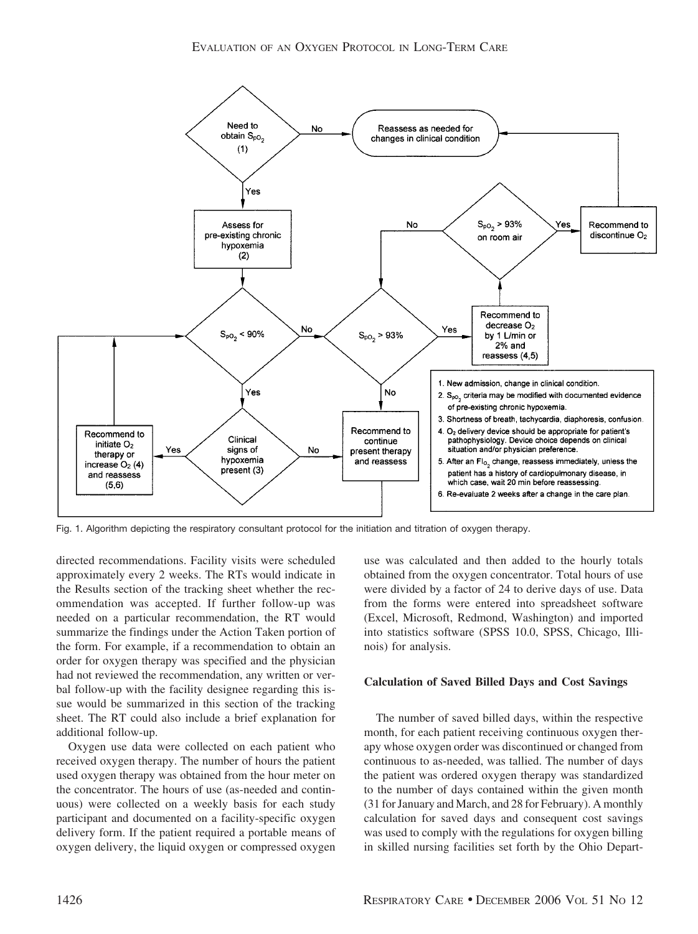

Fig. 1. Algorithm depicting the respiratory consultant protocol for the initiation and titration of oxygen therapy.

directed recommendations. Facility visits were scheduled approximately every 2 weeks. The RTs would indicate in the Results section of the tracking sheet whether the recommendation was accepted. If further follow-up was needed on a particular recommendation, the RT would summarize the findings under the Action Taken portion of the form. For example, if a recommendation to obtain an order for oxygen therapy was specified and the physician had not reviewed the recommendation, any written or verbal follow-up with the facility designee regarding this issue would be summarized in this section of the tracking sheet. The RT could also include a brief explanation for additional follow-up.

Oxygen use data were collected on each patient who received oxygen therapy. The number of hours the patient used oxygen therapy was obtained from the hour meter on the concentrator. The hours of use (as-needed and continuous) were collected on a weekly basis for each study participant and documented on a facility-specific oxygen delivery form. If the patient required a portable means of oxygen delivery, the liquid oxygen or compressed oxygen use was calculated and then added to the hourly totals obtained from the oxygen concentrator. Total hours of use were divided by a factor of 24 to derive days of use. Data from the forms were entered into spreadsheet software (Excel, Microsoft, Redmond, Washington) and imported into statistics software (SPSS 10.0, SPSS, Chicago, Illinois) for analysis.

## **Calculation of Saved Billed Days and Cost Savings**

The number of saved billed days, within the respective month, for each patient receiving continuous oxygen therapy whose oxygen order was discontinued or changed from continuous to as-needed, was tallied. The number of days the patient was ordered oxygen therapy was standardized to the number of days contained within the given month (31 for January and March, and 28 for February). A monthly calculation for saved days and consequent cost savings was used to comply with the regulations for oxygen billing in skilled nursing facilities set forth by the Ohio Depart-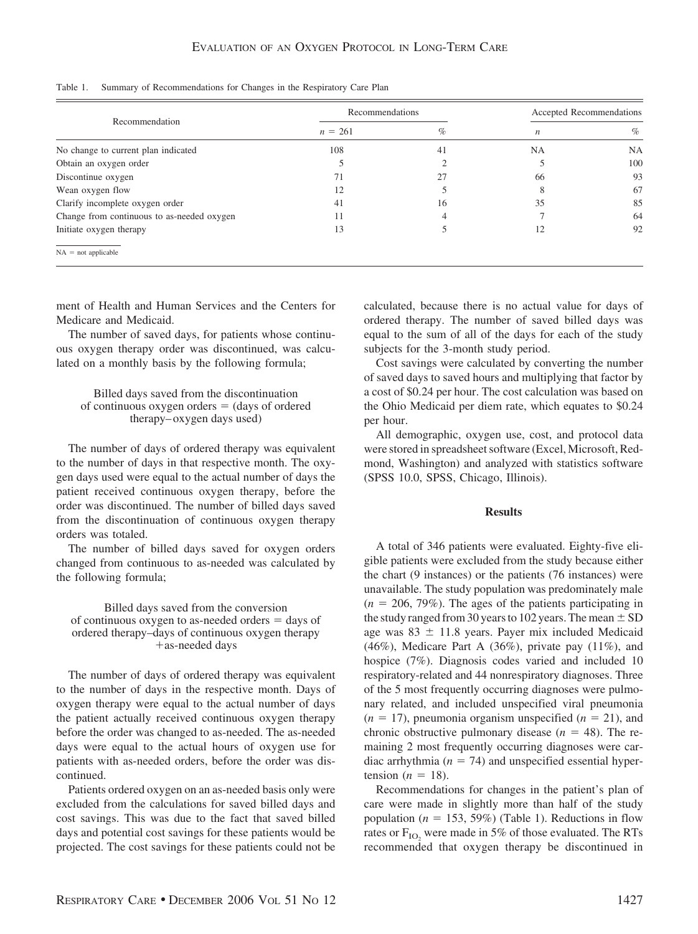|  |  |  | Table 1. Summary of Recommendations for Changes in the Respiratory Care Plan |  |
|--|--|--|------------------------------------------------------------------------------|--|
|  |  |  |                                                                              |  |

|                                            | Recommendations | Accepted Recommendations |                  |           |
|--------------------------------------------|-----------------|--------------------------|------------------|-----------|
| Recommendation                             | $n = 261$       | %                        | $\boldsymbol{n}$ | $\%$      |
| No change to current plan indicated        | 108             | 41                       | <b>NA</b>        | <b>NA</b> |
| Obtain an oxygen order                     |                 |                          |                  | 100       |
| Discontinue oxygen                         | 71              | 27                       | 66               | 93        |
| Wean oxygen flow                           | 12              |                          |                  | 67        |
| Clarify incomplete oxygen order            | 41              | 16                       | 35               | 85        |
| Change from continuous to as-needed oxygen | 11              |                          |                  | 64        |
| Initiate oxygen therapy                    | 13              |                          | 12               | 92        |
| $NA = not applicable$                      |                 |                          |                  |           |

ment of Health and Human Services and the Centers for Medicare and Medicaid.

The number of saved days, for patients whose continuous oxygen therapy order was discontinued, was calculated on a monthly basis by the following formula;

Billed days saved from the discontinuation of continuous oxygen orders  $=$  (days of ordered therapy– oxygen days used)

The number of days of ordered therapy was equivalent to the number of days in that respective month. The oxygen days used were equal to the actual number of days the patient received continuous oxygen therapy, before the order was discontinued. The number of billed days saved from the discontinuation of continuous oxygen therapy orders was totaled.

The number of billed days saved for oxygen orders changed from continuous to as-needed was calculated by the following formula;

Billed days saved from the conversion of continuous oxygen to as-needed orders  $=$  days of ordered therapy–days of continuous oxygen therapy -as-needed days

The number of days of ordered therapy was equivalent to the number of days in the respective month. Days of oxygen therapy were equal to the actual number of days the patient actually received continuous oxygen therapy before the order was changed to as-needed. The as-needed days were equal to the actual hours of oxygen use for patients with as-needed orders, before the order was discontinued.

Patients ordered oxygen on an as-needed basis only were excluded from the calculations for saved billed days and cost savings. This was due to the fact that saved billed days and potential cost savings for these patients would be projected. The cost savings for these patients could not be calculated, because there is no actual value for days of ordered therapy. The number of saved billed days was equal to the sum of all of the days for each of the study subjects for the 3-month study period.

Cost savings were calculated by converting the number of saved days to saved hours and multiplying that factor by a cost of \$0.24 per hour. The cost calculation was based on the Ohio Medicaid per diem rate, which equates to \$0.24 per hour.

All demographic, oxygen use, cost, and protocol data were stored in spreadsheet software (Excel, Microsoft, Redmond, Washington) and analyzed with statistics software (SPSS 10.0, SPSS, Chicago, Illinois).

#### **Results**

A total of 346 patients were evaluated. Eighty-five eligible patients were excluded from the study because either the chart (9 instances) or the patients (76 instances) were unavailable. The study population was predominately male  $(n = 206, 79\%)$ . The ages of the patients participating in the study ranged from 30 years to 102 years. The mean  $\pm$  SD age was  $83 \pm 11.8$  years. Payer mix included Medicaid (46%), Medicare Part A (36%), private pay (11%), and hospice (7%). Diagnosis codes varied and included 10 respiratory-related and 44 nonrespiratory diagnoses. Three of the 5 most frequently occurring diagnoses were pulmonary related, and included unspecified viral pneumonia  $(n = 17)$ , pneumonia organism unspecified  $(n = 21)$ , and chronic obstructive pulmonary disease  $(n = 48)$ . The remaining 2 most frequently occurring diagnoses were cardiac arrhythmia ( $n = 74$ ) and unspecified essential hypertension  $(n = 18)$ .

Recommendations for changes in the patient's plan of care were made in slightly more than half of the study population ( $n = 153, 59\%$ ) (Table 1). Reductions in flow rates or  $F_{IO}$ , were made in 5% of those evaluated. The RTs recommended that oxygen therapy be discontinued in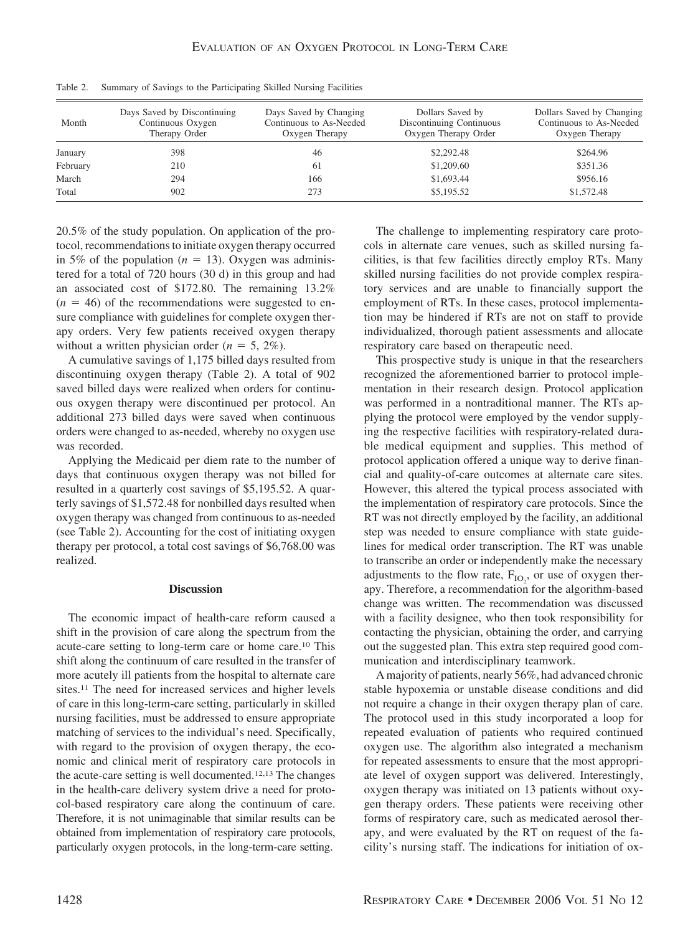| Month    | Days Saved by Discontinuing<br>Continuous Oxygen<br>Therapy Order | Days Saved by Changing<br>Continuous to As-Needed<br>Oxygen Therapy | Dollars Saved by<br>Discontinuing Continuous<br>Oxygen Therapy Order | Dollars Saved by Changing<br>Continuous to As-Needed<br>Oxygen Therapy |
|----------|-------------------------------------------------------------------|---------------------------------------------------------------------|----------------------------------------------------------------------|------------------------------------------------------------------------|
| January  | 398                                                               | 46                                                                  | \$2,292.48                                                           | \$264.96                                                               |
| February | 210                                                               | 61                                                                  | \$1,209.60                                                           | \$351.36                                                               |
| March    | 294                                                               | 166                                                                 | \$1,693.44                                                           | \$956.16                                                               |
| Total    | 902                                                               | 273                                                                 | \$5,195.52                                                           | \$1,572.48                                                             |

Table 2. Summary of Savings to the Participating Skilled Nursing Facilities

20.5% of the study population. On application of the protocol, recommendations to initiate oxygen therapy occurred in 5% of the population  $(n = 13)$ . Oxygen was administered for a total of 720 hours (30 d) in this group and had an associated cost of \$172.80. The remaining 13.2%  $(n = 46)$  of the recommendations were suggested to ensure compliance with guidelines for complete oxygen therapy orders. Very few patients received oxygen therapy without a written physician order ( $n = 5, 2\%$ ).

A cumulative savings of 1,175 billed days resulted from discontinuing oxygen therapy (Table 2). A total of 902 saved billed days were realized when orders for continuous oxygen therapy were discontinued per protocol. An additional 273 billed days were saved when continuous orders were changed to as-needed, whereby no oxygen use was recorded.

Applying the Medicaid per diem rate to the number of days that continuous oxygen therapy was not billed for resulted in a quarterly cost savings of \$5,195.52. A quarterly savings of \$1,572.48 for nonbilled days resulted when oxygen therapy was changed from continuous to as-needed (see Table 2). Accounting for the cost of initiating oxygen therapy per protocol, a total cost savings of \$6,768.00 was realized.

#### **Discussion**

The economic impact of health-care reform caused a shift in the provision of care along the spectrum from the acute-care setting to long-term care or home care.10 This shift along the continuum of care resulted in the transfer of more acutely ill patients from the hospital to alternate care sites.11 The need for increased services and higher levels of care in this long-term-care setting, particularly in skilled nursing facilities, must be addressed to ensure appropriate matching of services to the individual's need. Specifically, with regard to the provision of oxygen therapy, the economic and clinical merit of respiratory care protocols in the acute-care setting is well documented.12,13 The changes in the health-care delivery system drive a need for protocol-based respiratory care along the continuum of care. Therefore, it is not unimaginable that similar results can be obtained from implementation of respiratory care protocols, particularly oxygen protocols, in the long-term-care setting.

The challenge to implementing respiratory care protocols in alternate care venues, such as skilled nursing facilities, is that few facilities directly employ RTs. Many skilled nursing facilities do not provide complex respiratory services and are unable to financially support the employment of RTs. In these cases, protocol implementation may be hindered if RTs are not on staff to provide individualized, thorough patient assessments and allocate respiratory care based on therapeutic need.

This prospective study is unique in that the researchers recognized the aforementioned barrier to protocol implementation in their research design. Protocol application was performed in a nontraditional manner. The RTs applying the protocol were employed by the vendor supplying the respective facilities with respiratory-related durable medical equipment and supplies. This method of protocol application offered a unique way to derive financial and quality-of-care outcomes at alternate care sites. However, this altered the typical process associated with the implementation of respiratory care protocols. Since the RT was not directly employed by the facility, an additional step was needed to ensure compliance with state guidelines for medical order transcription. The RT was unable to transcribe an order or independently make the necessary adjustments to the flow rate,  $F_{IO_2}$ , or use of oxygen therapy. Therefore, a recommendation for the algorithm-based change was written. The recommendation was discussed with a facility designee, who then took responsibility for contacting the physician, obtaining the order, and carrying out the suggested plan. This extra step required good communication and interdisciplinary teamwork.

A majority of patients, nearly 56%, had advanced chronic stable hypoxemia or unstable disease conditions and did not require a change in their oxygen therapy plan of care. The protocol used in this study incorporated a loop for repeated evaluation of patients who required continued oxygen use. The algorithm also integrated a mechanism for repeated assessments to ensure that the most appropriate level of oxygen support was delivered. Interestingly, oxygen therapy was initiated on 13 patients without oxygen therapy orders. These patients were receiving other forms of respiratory care, such as medicated aerosol therapy, and were evaluated by the RT on request of the facility's nursing staff. The indications for initiation of ox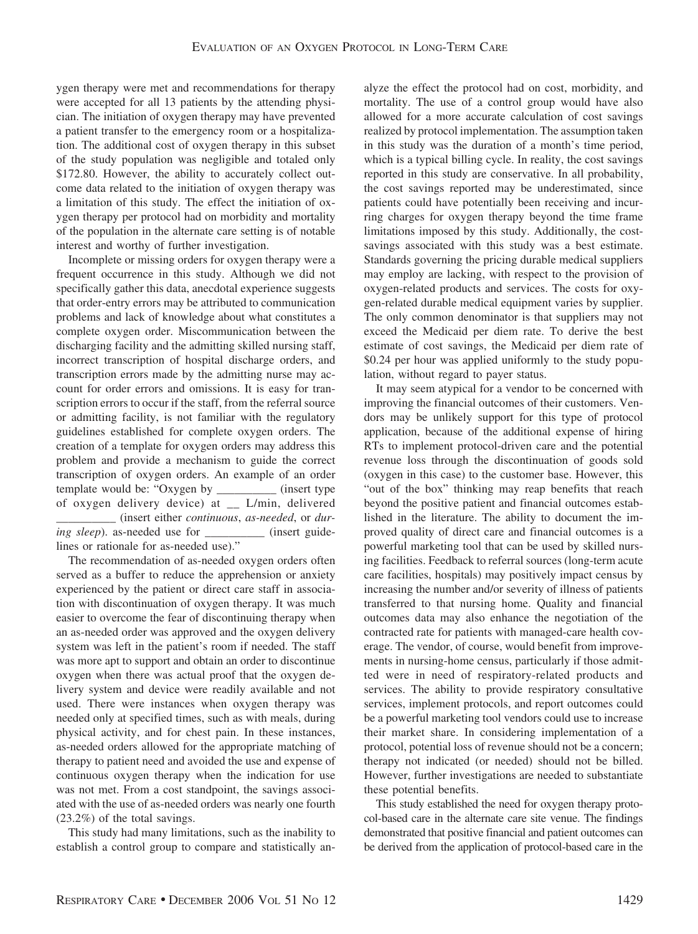ygen therapy were met and recommendations for therapy were accepted for all 13 patients by the attending physician. The initiation of oxygen therapy may have prevented a patient transfer to the emergency room or a hospitalization. The additional cost of oxygen therapy in this subset of the study population was negligible and totaled only \$172.80. However, the ability to accurately collect outcome data related to the initiation of oxygen therapy was a limitation of this study. The effect the initiation of oxygen therapy per protocol had on morbidity and mortality of the population in the alternate care setting is of notable interest and worthy of further investigation.

Incomplete or missing orders for oxygen therapy were a frequent occurrence in this study. Although we did not specifically gather this data, anecdotal experience suggests that order-entry errors may be attributed to communication problems and lack of knowledge about what constitutes a complete oxygen order. Miscommunication between the discharging facility and the admitting skilled nursing staff, incorrect transcription of hospital discharge orders, and transcription errors made by the admitting nurse may account for order errors and omissions. It is easy for transcription errors to occur if the staff, from the referral source or admitting facility, is not familiar with the regulatory guidelines established for complete oxygen orders. The creation of a template for oxygen orders may address this problem and provide a mechanism to guide the correct transcription of oxygen orders. An example of an order template would be: "Oxygen by \_\_\_\_\_\_\_\_\_\_ (insert type of oxygen delivery device) at \_\_ L/min, delivered \_\_\_\_\_\_\_\_\_\_ (insert either *continuous*, *as-needed*, or *during sleep*). as-needed use for \_\_\_\_\_\_\_\_\_\_\_ (insert guidelines or rationale for as-needed use)."

The recommendation of as-needed oxygen orders often served as a buffer to reduce the apprehension or anxiety experienced by the patient or direct care staff in association with discontinuation of oxygen therapy. It was much easier to overcome the fear of discontinuing therapy when an as-needed order was approved and the oxygen delivery system was left in the patient's room if needed. The staff was more apt to support and obtain an order to discontinue oxygen when there was actual proof that the oxygen delivery system and device were readily available and not used. There were instances when oxygen therapy was needed only at specified times, such as with meals, during physical activity, and for chest pain. In these instances, as-needed orders allowed for the appropriate matching of therapy to patient need and avoided the use and expense of continuous oxygen therapy when the indication for use was not met. From a cost standpoint, the savings associated with the use of as-needed orders was nearly one fourth (23.2%) of the total savings.

This study had many limitations, such as the inability to establish a control group to compare and statistically analyze the effect the protocol had on cost, morbidity, and mortality. The use of a control group would have also allowed for a more accurate calculation of cost savings realized by protocol implementation. The assumption taken in this study was the duration of a month's time period, which is a typical billing cycle. In reality, the cost savings reported in this study are conservative. In all probability, the cost savings reported may be underestimated, since patients could have potentially been receiving and incurring charges for oxygen therapy beyond the time frame limitations imposed by this study. Additionally, the costsavings associated with this study was a best estimate. Standards governing the pricing durable medical suppliers may employ are lacking, with respect to the provision of oxygen-related products and services. The costs for oxygen-related durable medical equipment varies by supplier. The only common denominator is that suppliers may not exceed the Medicaid per diem rate. To derive the best estimate of cost savings, the Medicaid per diem rate of \$0.24 per hour was applied uniformly to the study population, without regard to payer status.

It may seem atypical for a vendor to be concerned with improving the financial outcomes of their customers. Vendors may be unlikely support for this type of protocol application, because of the additional expense of hiring RTs to implement protocol-driven care and the potential revenue loss through the discontinuation of goods sold (oxygen in this case) to the customer base. However, this "out of the box" thinking may reap benefits that reach beyond the positive patient and financial outcomes established in the literature. The ability to document the improved quality of direct care and financial outcomes is a powerful marketing tool that can be used by skilled nursing facilities. Feedback to referral sources (long-term acute care facilities, hospitals) may positively impact census by increasing the number and/or severity of illness of patients transferred to that nursing home. Quality and financial outcomes data may also enhance the negotiation of the contracted rate for patients with managed-care health coverage. The vendor, of course, would benefit from improvements in nursing-home census, particularly if those admitted were in need of respiratory-related products and services. The ability to provide respiratory consultative services, implement protocols, and report outcomes could be a powerful marketing tool vendors could use to increase their market share. In considering implementation of a protocol, potential loss of revenue should not be a concern; therapy not indicated (or needed) should not be billed. However, further investigations are needed to substantiate these potential benefits.

This study established the need for oxygen therapy protocol-based care in the alternate care site venue. The findings demonstrated that positive financial and patient outcomes can be derived from the application of protocol-based care in the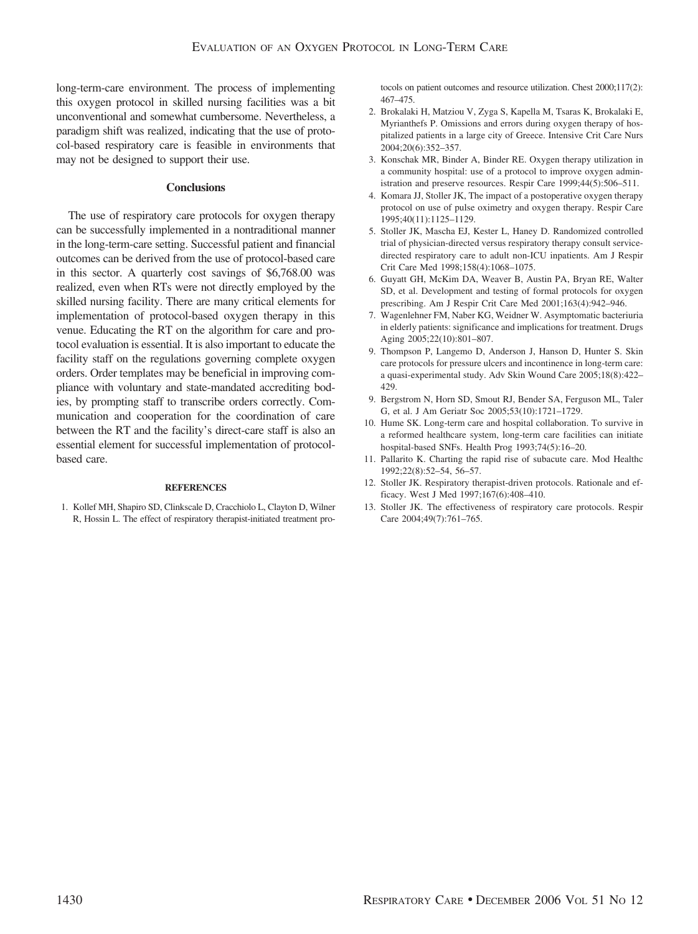long-term-care environment. The process of implementing this oxygen protocol in skilled nursing facilities was a bit unconventional and somewhat cumbersome. Nevertheless, a paradigm shift was realized, indicating that the use of protocol-based respiratory care is feasible in environments that may not be designed to support their use.

## **Conclusions**

The use of respiratory care protocols for oxygen therapy can be successfully implemented in a nontraditional manner in the long-term-care setting. Successful patient and financial outcomes can be derived from the use of protocol-based care in this sector. A quarterly cost savings of \$6,768.00 was realized, even when RTs were not directly employed by the skilled nursing facility. There are many critical elements for implementation of protocol-based oxygen therapy in this venue. Educating the RT on the algorithm for care and protocol evaluation is essential. It is also important to educate the facility staff on the regulations governing complete oxygen orders. Order templates may be beneficial in improving compliance with voluntary and state-mandated accrediting bodies, by prompting staff to transcribe orders correctly. Communication and cooperation for the coordination of care between the RT and the facility's direct-care staff is also an essential element for successful implementation of protocolbased care.

#### **REFERENCES**

1. Kollef MH, Shapiro SD, Clinkscale D, Cracchiolo L, Clayton D, Wilner R, Hossin L. The effect of respiratory therapist-initiated treatment protocols on patient outcomes and resource utilization. Chest 2000;117(2): 467–475.

- 2. Brokalaki H, Matziou V, Zyga S, Kapella M, Tsaras K, Brokalaki E, Myrianthefs P. Omissions and errors during oxygen therapy of hospitalized patients in a large city of Greece. Intensive Crit Care Nurs 2004;20(6):352–357.
- 3. Konschak MR, Binder A, Binder RE. Oxygen therapy utilization in a community hospital: use of a protocol to improve oxygen administration and preserve resources. Respir Care 1999;44(5):506–511.
- 4. Komara JJ, Stoller JK, The impact of a postoperative oxygen therapy protocol on use of pulse oximetry and oxygen therapy. Respir Care 1995;40(11):1125–1129.
- 5. Stoller JK, Mascha EJ, Kester L, Haney D. Randomized controlled trial of physician-directed versus respiratory therapy consult servicedirected respiratory care to adult non-ICU inpatients. Am J Respir Crit Care Med 1998;158(4):1068–1075.
- 6. Guyatt GH, McKim DA, Weaver B, Austin PA, Bryan RE, Walter SD, et al. Development and testing of formal protocols for oxygen prescribing. Am J Respir Crit Care Med 2001;163(4):942–946.
- 7. Wagenlehner FM, Naber KG, Weidner W. Asymptomatic bacteriuria in elderly patients: significance and implications for treatment. Drugs Aging 2005;22(10):801–807.
- 9. Thompson P, Langemo D, Anderson J, Hanson D, Hunter S. Skin care protocols for pressure ulcers and incontinence in long-term care: a quasi-experimental study. Adv Skin Wound Care 2005;18(8):422– 429.
- 9. Bergstrom N, Horn SD, Smout RJ, Bender SA, Ferguson ML, Taler G, et al. J Am Geriatr Soc 2005;53(10):1721–1729.
- 10. Hume SK. Long-term care and hospital collaboration. To survive in a reformed healthcare system, long-term care facilities can initiate hospital-based SNFs. Health Prog 1993;74(5):16–20.
- 11. Pallarito K. Charting the rapid rise of subacute care. Mod Healthc 1992;22(8):52–54, 56–57.
- 12. Stoller JK. Respiratory therapist-driven protocols. Rationale and efficacy. West J Med 1997;167(6):408–410.
- 13. Stoller JK. The effectiveness of respiratory care protocols. Respir Care 2004;49(7):761–765.